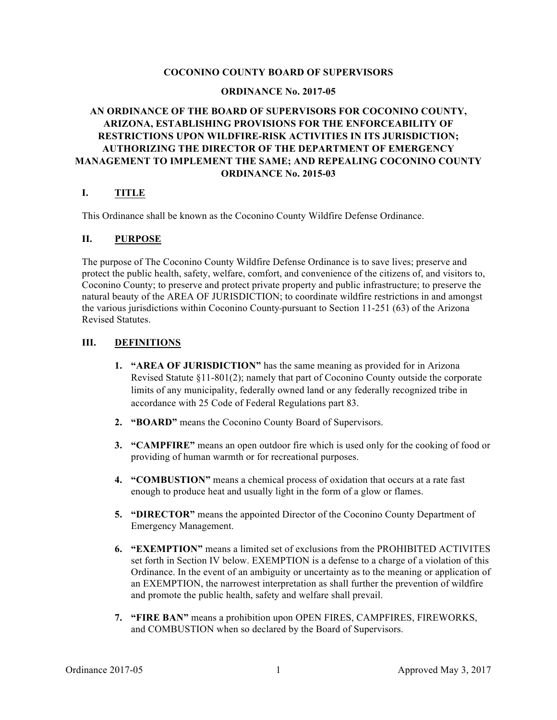#### **COCONINO COUNTY BOARD OF SUPERVISORS**

#### **ORDINANCE No. 2017-05**

## **AN ORDINANCE OF THE BOARD OF SUPERVISORS FOR COCONINO COUNTY, ARIZONA, ESTABLISHING PROVISIONS FOR THE ENFORCEABILITY OF RESTRICTIONS UPON WILDFIRE-RISK ACTIVITIES IN ITS JURISDICTION; AUTHORIZING THE DIRECTOR OF THE DEPARTMENT OF EMERGENCY MANAGEMENT TO IMPLEMENT THE SAME; AND REPEALING COCONINO COUNTY ORDINANCE No. 2015-03**

#### **I. TITLE**

This Ordinance shall be known as the Coconino County Wildfire Defense Ordinance.

#### **II. PURPOSE**

The purpose of The Coconino County Wildfire Defense Ordinance is to save lives; preserve and protect the public health, safety, welfare, comfort, and convenience of the citizens of, and visitors to, Coconino County; to preserve and protect private property and public infrastructure; to preserve the natural beauty of the AREA OF JURISDICTION; to coordinate wildfire restrictions in and amongst the various jurisdictions within Coconino County pursuant to Section 11-251 (63) of the Arizona Revised Statutes.

#### **III. DEFINITIONS**

- **1. "AREA OF JURISDICTION"** has the same meaning as provided for in Arizona Revised Statute §11-801(2); namely that part of Coconino County outside the corporate limits of any municipality, federally owned land or any federally recognized tribe in accordance with 25 Code of Federal Regulations part 83.
- **2. "BOARD"** means the Coconino County Board of Supervisors.
- **3. "CAMPFIRE"** means an open outdoor fire which is used only for the cooking of food or providing of human warmth or for recreational purposes.
- **4. "COMBUSTION"** means a chemical process of oxidation that occurs at a rate fast enough to produce heat and usually light in the form of a glow or flames.
- **5. "DIRECTOR"** means the appointed Director of the Coconino County Department of Emergency Management.
- **6. "EXEMPTION"** means a limited set of exclusions from the PROHIBITED ACTIVITES set forth in Section IV below. EXEMPTION is a defense to a charge of a violation of this Ordinance. In the event of an ambiguity or uncertainty as to the meaning or application of an EXEMPTION, the narrowest interpretation as shall further the prevention of wildfire and promote the public health, safety and welfare shall prevail.
- **7. "FIRE BAN"** means a prohibition upon OPEN FIRES, CAMPFIRES, FIREWORKS, and COMBUSTION when so declared by the Board of Supervisors.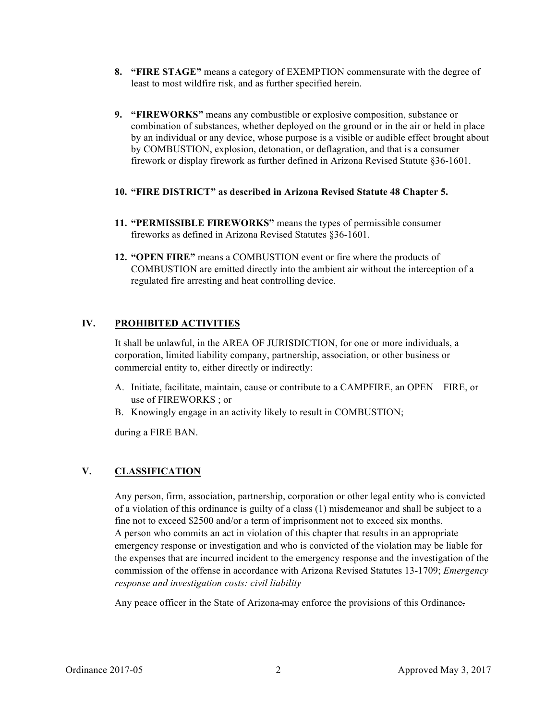- **8. "FIRE STAGE"** means a category of EXEMPTION commensurate with the degree of least to most wildfire risk, and as further specified herein.
- **9. "FIREWORKS"** means any combustible or explosive composition, substance or combination of substances, whether deployed on the ground or in the air or held in place by an individual or any device, whose purpose is a visible or audible effect brought about by COMBUSTION, explosion, detonation, or deflagration, and that is a consumer firework or display firework as further defined in Arizona Revised Statute §36-1601.
- **10. "FIRE DISTRICT" as described in Arizona Revised Statute 48 Chapter 5.**
- **11. "PERMISSIBLE FIREWORKS"** means the types of permissible consumer fireworks as defined in Arizona Revised Statutes §36-1601.
- **12. "OPEN FIRE"** means a COMBUSTION event or fire where the products of COMBUSTION are emitted directly into the ambient air without the interception of a regulated fire arresting and heat controlling device.

## **IV. PROHIBITED ACTIVITIES**

It shall be unlawful, in the AREA OF JURISDICTION, for one or more individuals, a corporation, limited liability company, partnership, association, or other business or commercial entity to, either directly or indirectly:

- A. Initiate, facilitate, maintain, cause or contribute to a CAMPFIRE, an OPEN FIRE, or use of FIREWORKS ; or
- B. Knowingly engage in an activity likely to result in COMBUSTION;

during a FIRE BAN.

## **V. CLASSIFICATION**

Any person, firm, association, partnership, corporation or other legal entity who is convicted of a violation of this ordinance is guilty of a class (1) misdemeanor and shall be subject to a fine not to exceed \$2500 and/or a term of imprisonment not to exceed six months. A person who commits an act in violation of this chapter that results in an appropriate emergency response or investigation and who is convicted of the violation may be liable for the expenses that are incurred incident to the emergency response and the investigation of the commission of the offense in accordance with Arizona Revised Statutes 13-1709; *Emergency response and investigation costs: civil liability*

Any peace officer in the State of Arizona may enforce the provisions of this Ordinance.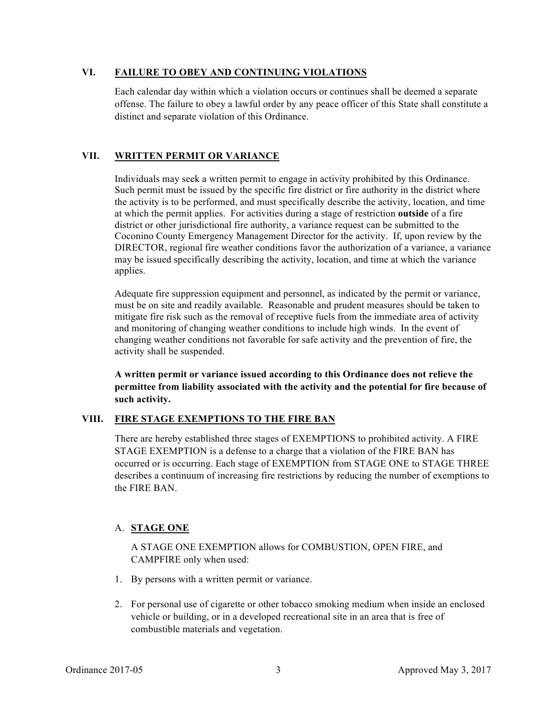#### **VI. FAILURE TO OBEY AND CONTINUING VIOLATIONS**

Each calendar day within which a violation occurs or continues shall be deemed a separate offense. The failure to obey a lawful order by any peace officer of this State shall constitute a distinct and separate violation of this Ordinance.

## **VII. WRITTEN PERMIT OR VARIANCE**

Individuals may seek a written permit to engage in activity prohibited by this Ordinance. Such permit must be issued by the specific fire district or fire authority in the district where the activity is to be performed, and must specifically describe the activity, location, and time at which the permit applies. For activities during a stage of restriction **outside** of a fire district or other jurisdictional fire authority, a variance request can be submitted to the Coconino County Emergency Management Director for the activity. If, upon review by the DIRECTOR, regional fire weather conditions favor the authorization of a variance, a variance may be issued specifically describing the activity, location, and time at which the variance applies.

Adequate fire suppression equipment and personnel, as indicated by the permit or variance, must be on site and readily available. Reasonable and prudent measures should be taken to mitigate fire risk such as the removal of receptive fuels from the immediate area of activity and monitoring of changing weather conditions to include high winds. In the event of changing weather conditions not favorable for safe activity and the prevention of fire, the activity shall be suspended.

**A written permit or variance issued according to this Ordinance does not relieve the permittee from liability associated with the activity and the potential for fire because of such activity.**

## **VIII. FIRE STAGE EXEMPTIONS TO THE FIRE BAN**

There are hereby established three stages of EXEMPTIONS to prohibited activity. A FIRE STAGE EXEMPTION is a defense to a charge that a violation of the FIRE BAN has occurred or is occurring. Each stage of EXEMPTION from STAGE ONE to STAGE THREE describes a continuum of increasing fire restrictions by reducing the number of exemptions to the FIRE BAN.

# A. **STAGE ONE**

A STAGE ONE EXEMPTION allows for COMBUSTION, OPEN FIRE, and CAMPFIRE only when used:

- 1. By persons with a written permit or variance.
- 2. For personal use of cigarette or other tobacco smoking medium when inside an enclosed vehicle or building, or in a developed recreational site in an area that is free of combustible materials and vegetation.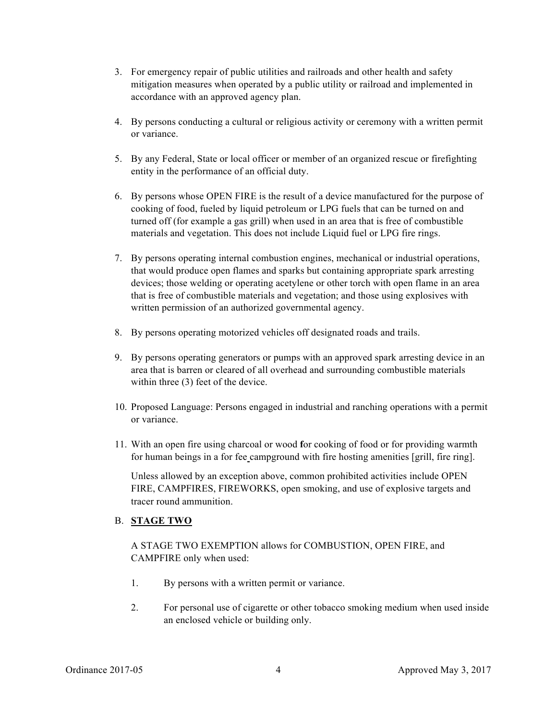- 3. For emergency repair of public utilities and railroads and other health and safety mitigation measures when operated by a public utility or railroad and implemented in accordance with an approved agency plan.
- 4. By persons conducting a cultural or religious activity or ceremony with a written permit or variance.
- 5. By any Federal, State or local officer or member of an organized rescue or firefighting entity in the performance of an official duty.
- 6. By persons whose OPEN FIRE is the result of a device manufactured for the purpose of cooking of food, fueled by liquid petroleum or LPG fuels that can be turned on and turned off (for example a gas grill) when used in an area that is free of combustible materials and vegetation. This does not include Liquid fuel or LPG fire rings.
- 7. By persons operating internal combustion engines, mechanical or industrial operations, that would produce open flames and sparks but containing appropriate spark arresting devices; those welding or operating acetylene or other torch with open flame in an area that is free of combustible materials and vegetation; and those using explosives with written permission of an authorized governmental agency.
- 8. By persons operating motorized vehicles off designated roads and trails.
- 9. By persons operating generators or pumps with an approved spark arresting device in an area that is barren or cleared of all overhead and surrounding combustible materials within three  $(3)$  feet of the device.
- 10. Proposed Language: Persons engaged in industrial and ranching operations with a permit or variance.
- 11. With an open fire using charcoal or wood **f**or cooking of food or for providing warmth for human beings in a for fee campground with fire hosting amenities [grill, fire ring].

Unless allowed by an exception above, common prohibited activities include OPEN FIRE, CAMPFIRES, FIREWORKS, open smoking, and use of explosive targets and tracer round ammunition.

## B. **STAGE TWO**

A STAGE TWO EXEMPTION allows for COMBUSTION, OPEN FIRE, and CAMPFIRE only when used:

- 1. By persons with a written permit or variance.
- 2. For personal use of cigarette or other tobacco smoking medium when used inside an enclosed vehicle or building only.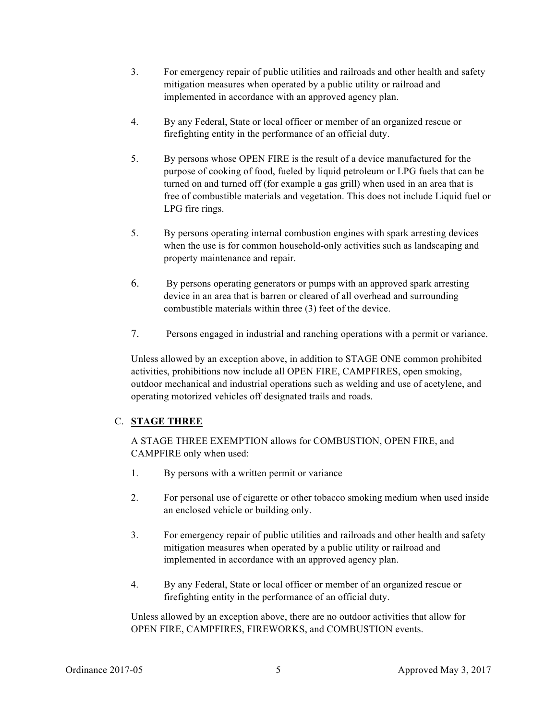- 3. For emergency repair of public utilities and railroads and other health and safety mitigation measures when operated by a public utility or railroad and implemented in accordance with an approved agency plan.
- 4. By any Federal, State or local officer or member of an organized rescue or firefighting entity in the performance of an official duty.
- 5. By persons whose OPEN FIRE is the result of a device manufactured for the purpose of cooking of food, fueled by liquid petroleum or LPG fuels that can be turned on and turned off (for example a gas grill) when used in an area that is free of combustible materials and vegetation. This does not include Liquid fuel or LPG fire rings.
- 5. By persons operating internal combustion engines with spark arresting devices when the use is for common household-only activities such as landscaping and property maintenance and repair.
- 6. By persons operating generators or pumps with an approved spark arresting device in an area that is barren or cleared of all overhead and surrounding combustible materials within three (3) feet of the device.
- 7. Persons engaged in industrial and ranching operations with a permit or variance.

Unless allowed by an exception above, in addition to STAGE ONE common prohibited activities, prohibitions now include all OPEN FIRE, CAMPFIRES, open smoking, outdoor mechanical and industrial operations such as welding and use of acetylene, and operating motorized vehicles off designated trails and roads.

## C. **STAGE THREE**

A STAGE THREE EXEMPTION allows for COMBUSTION, OPEN FIRE, and CAMPFIRE only when used:

- 1. By persons with a written permit or variance
- 2. For personal use of cigarette or other tobacco smoking medium when used inside an enclosed vehicle or building only.
- 3. For emergency repair of public utilities and railroads and other health and safety mitigation measures when operated by a public utility or railroad and implemented in accordance with an approved agency plan.
- 4. By any Federal, State or local officer or member of an organized rescue or firefighting entity in the performance of an official duty.

Unless allowed by an exception above, there are no outdoor activities that allow for OPEN FIRE, CAMPFIRES, FIREWORKS, and COMBUSTION events.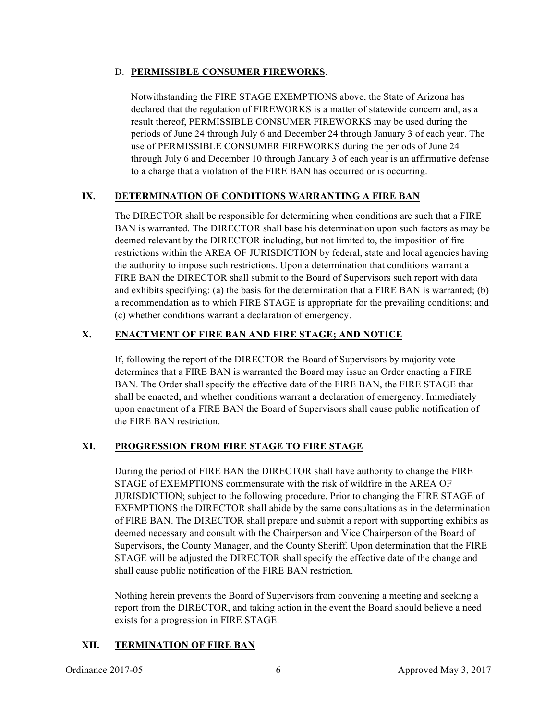#### D. **PERMISSIBLE CONSUMER FIREWORKS**.

Notwithstanding the FIRE STAGE EXEMPTIONS above, the State of Arizona has declared that the regulation of FIREWORKS is a matter of statewide concern and, as a result thereof, PERMISSIBLE CONSUMER FIREWORKS may be used during the periods of June 24 through July 6 and December 24 through January 3 of each year. The use of PERMISSIBLE CONSUMER FIREWORKS during the periods of June 24 through July 6 and December 10 through January 3 of each year is an affirmative defense to a charge that a violation of the FIRE BAN has occurred or is occurring.

## **IX. DETERMINATION OF CONDITIONS WARRANTING A FIRE BAN**

The DIRECTOR shall be responsible for determining when conditions are such that a FIRE BAN is warranted. The DIRECTOR shall base his determination upon such factors as may be deemed relevant by the DIRECTOR including, but not limited to, the imposition of fire restrictions within the AREA OF JURISDICTION by federal, state and local agencies having the authority to impose such restrictions. Upon a determination that conditions warrant a FIRE BAN the DIRECTOR shall submit to the Board of Supervisors such report with data and exhibits specifying: (a) the basis for the determination that a FIRE BAN is warranted; (b) a recommendation as to which FIRE STAGE is appropriate for the prevailing conditions; and (c) whether conditions warrant a declaration of emergency.

## **X. ENACTMENT OF FIRE BAN AND FIRE STAGE; AND NOTICE**

If, following the report of the DIRECTOR the Board of Supervisors by majority vote determines that a FIRE BAN is warranted the Board may issue an Order enacting a FIRE BAN. The Order shall specify the effective date of the FIRE BAN, the FIRE STAGE that shall be enacted, and whether conditions warrant a declaration of emergency. Immediately upon enactment of a FIRE BAN the Board of Supervisors shall cause public notification of the FIRE BAN restriction.

## **XI. PROGRESSION FROM FIRE STAGE TO FIRE STAGE**

During the period of FIRE BAN the DIRECTOR shall have authority to change the FIRE STAGE of EXEMPTIONS commensurate with the risk of wildfire in the AREA OF JURISDICTION; subject to the following procedure. Prior to changing the FIRE STAGE of EXEMPTIONS the DIRECTOR shall abide by the same consultations as in the determination of FIRE BAN. The DIRECTOR shall prepare and submit a report with supporting exhibits as deemed necessary and consult with the Chairperson and Vice Chairperson of the Board of Supervisors, the County Manager, and the County Sheriff. Upon determination that the FIRE STAGE will be adjusted the DIRECTOR shall specify the effective date of the change and shall cause public notification of the FIRE BAN restriction.

Nothing herein prevents the Board of Supervisors from convening a meeting and seeking a report from the DIRECTOR, and taking action in the event the Board should believe a need exists for a progression in FIRE STAGE.

## **XII. TERMINATION OF FIRE BAN**